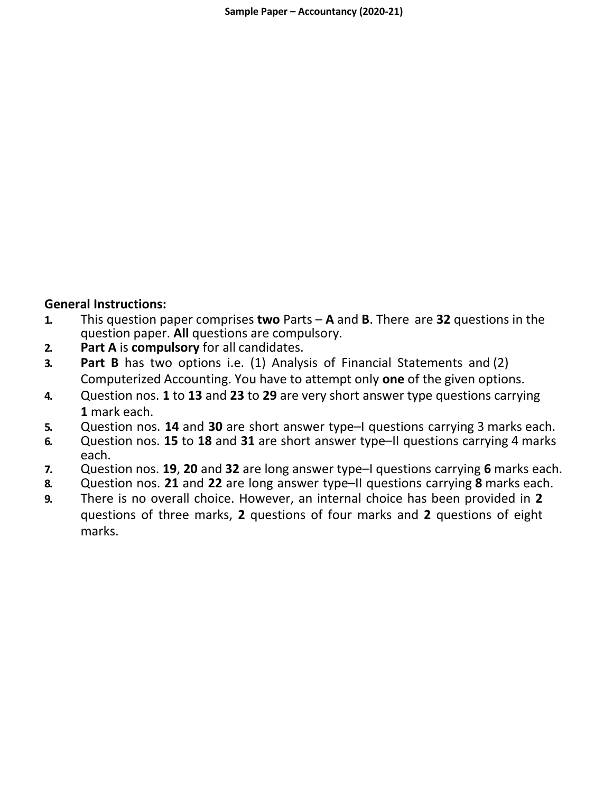### **General Instructions:**

- **1.** This question paper comprises **two** Parts **A** and **B**. There are **32** questions in the question paper. **All** questions are compulsory.
- **2. Part A** is **compulsory** for all candidates.
- **3. Part B** has two options i.e. (1) Analysis of Financial Statements and (2) Computerized Accounting. You have to attempt only **one** of the given options.
- **4.** Question nos. **1** to **13** and **23** to **29** are very short answer type questions carrying **1** mark each.
- **5.** Question nos. **14** and **30** are short answer type–I questions carrying 3 marks each.
- **6.** Question nos. **15** to **18** and **31** are short answer type–II questions carrying 4 marks each.
- **7.** Question nos. **19**, **20** and **32** are long answer type–I questions carrying **6** marks each.
- **8.** Question nos. **21** and **22** are long answer type–II questions carrying **8** marks each.
- **9.** There is no overall choice. However, an internal choice has been provided in **2**  questions of three marks, **2** questions of four marks and **2** questions of eight marks.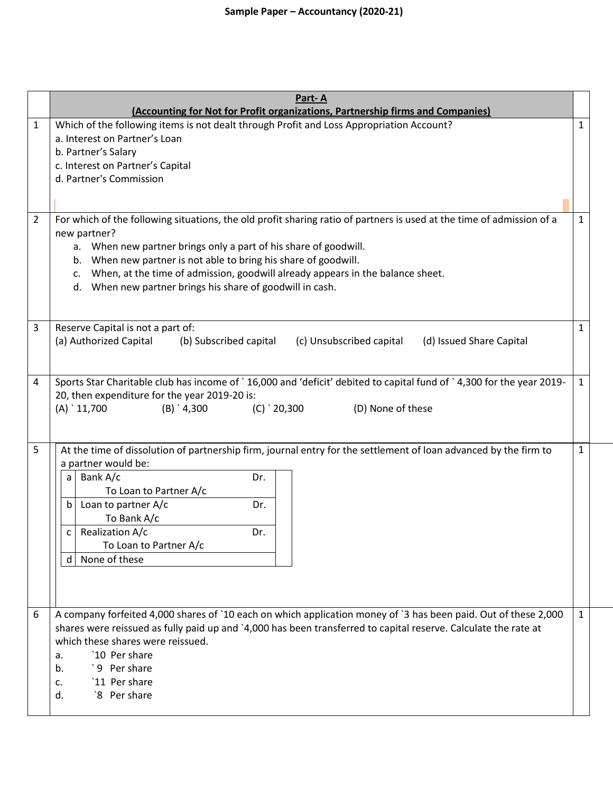|   | Part-A                                                                                                                                                                     |              |
|---|----------------------------------------------------------------------------------------------------------------------------------------------------------------------------|--------------|
| 1 | (Accounting for Not for Profit organizations, Partnership firms and Companies)<br>Which of the following items is not dealt through Profit and Loss Appropriation Account? | 1            |
|   | a. Interest on Partner's Loan                                                                                                                                              |              |
|   | b. Partner's Salary                                                                                                                                                        |              |
|   | c. Interest on Partner's Capital                                                                                                                                           |              |
|   | d. Partner's Commission                                                                                                                                                    |              |
|   |                                                                                                                                                                            |              |
|   |                                                                                                                                                                            |              |
| 2 | For which of the following situations, the old profit sharing ratio of partners is used at the time of admission of a                                                      | $\mathbf{1}$ |
|   | new partner?                                                                                                                                                               |              |
|   | When new partner brings only a part of his share of goodwill.<br>а.                                                                                                        |              |
|   | When new partner is not able to bring his share of goodwill.<br>b.                                                                                                         |              |
|   | When, at the time of admission, goodwill already appears in the balance sheet.<br>c.                                                                                       |              |
|   | When new partner brings his share of goodwill in cash.<br>d.                                                                                                               |              |
|   |                                                                                                                                                                            |              |
| 3 | Reserve Capital is not a part of:                                                                                                                                          | $\mathbf{1}$ |
|   | (a) Authorized Capital<br>(b) Subscribed capital<br>(c) Unsubscribed capital<br>(d) Issued Share Capital                                                                   |              |
|   |                                                                                                                                                                            |              |
|   |                                                                                                                                                                            |              |
| 4 | Sports Star Charitable club has income of `16,000 and 'deficit' debited to capital fund of `4,300 for the year 2019-                                                       | $\mathbf{1}$ |
|   | 20, then expenditure for the year 2019-20 is:                                                                                                                              |              |
|   | $(A)$ 11,700<br>$(B)$ 4,300<br>$(C)$ 20,300<br>(D) None of these                                                                                                           |              |
|   |                                                                                                                                                                            |              |
|   |                                                                                                                                                                            |              |
| 5 | At the time of dissolution of partnership firm, journal entry for the settlement of loan advanced by the firm to                                                           | $\mathbf{1}$ |
|   | a partner would be:                                                                                                                                                        |              |
|   | Bank A/c<br>Dr.<br>a                                                                                                                                                       |              |
|   | To Loan to Partner A/c<br>Loan to partner A/c<br>$\mathsf b$<br>Dr.                                                                                                        |              |
|   | To Bank A/c                                                                                                                                                                |              |
|   | Realization A/c<br>Dr.<br>C                                                                                                                                                |              |
|   | To Loan to Partner A/c                                                                                                                                                     |              |
|   | d None of these                                                                                                                                                            |              |
|   |                                                                                                                                                                            |              |
|   |                                                                                                                                                                            |              |
|   |                                                                                                                                                                            |              |
| 6 | A company forfeited 4,000 shares of `10 each on which application money of `3 has been paid. Out of these 2,000                                                            | $\mathbf{1}$ |
|   | shares were reissued as fully paid up and `4,000 has been transferred to capital reserve. Calculate the rate at                                                            |              |
|   | which these shares were reissued.                                                                                                                                          |              |
|   | '10 Per share<br>a.                                                                                                                                                        |              |
|   | '9 Per share<br>b.                                                                                                                                                         |              |
|   | `11 Per share<br>c.                                                                                                                                                        |              |
|   | `8 Per share<br>d.                                                                                                                                                         |              |
|   |                                                                                                                                                                            |              |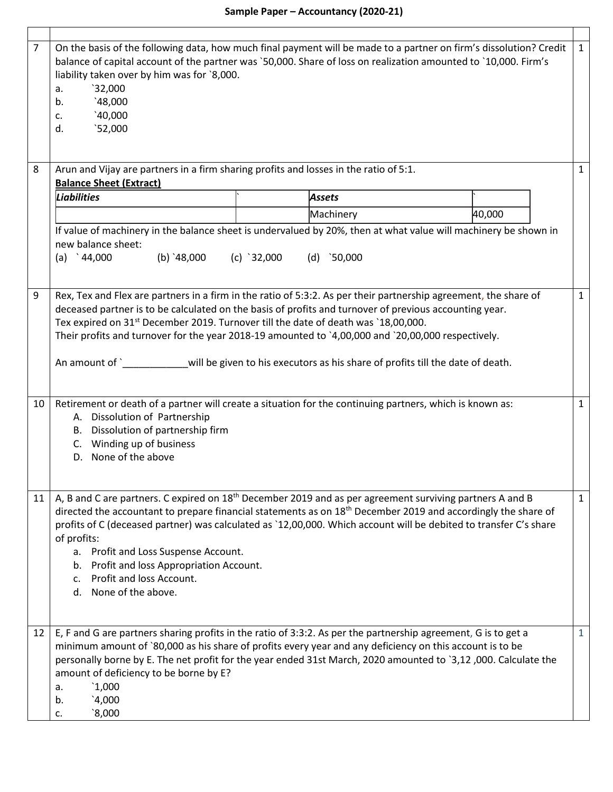Г

| $\overline{7}$ | On the basis of the following data, how much final payment will be made to a partner on firm's dissolution? Credit<br>balance of capital account of the partner was `50,000. Share of loss on realization amounted to `10,000. Firm's<br>liability taken over by him was for `8,000.<br>32,000<br>a.<br>48,000<br>b.<br>40,000<br>c.<br>$^{\text{52,000}}$<br>d.                                                                                                                                                                                   | 1            |  |  |  |  |
|----------------|----------------------------------------------------------------------------------------------------------------------------------------------------------------------------------------------------------------------------------------------------------------------------------------------------------------------------------------------------------------------------------------------------------------------------------------------------------------------------------------------------------------------------------------------------|--------------|--|--|--|--|
| 8              | Arun and Vijay are partners in a firm sharing profits and losses in the ratio of 5:1.<br><b>Balance Sheet (Extract)</b>                                                                                                                                                                                                                                                                                                                                                                                                                            | $\mathbf{1}$ |  |  |  |  |
|                | <b>Liabilities</b><br>Assets                                                                                                                                                                                                                                                                                                                                                                                                                                                                                                                       |              |  |  |  |  |
|                | Machinery<br>40,000                                                                                                                                                                                                                                                                                                                                                                                                                                                                                                                                |              |  |  |  |  |
|                | If value of machinery in the balance sheet is undervalued by 20%, then at what value will machinery be shown in<br>new balance sheet:<br>(a) $\degree$ 44,000<br>(b) $48,000$<br>(c) $32,000$<br>(d) $\binom{50,000}{ }$                                                                                                                                                                                                                                                                                                                           |              |  |  |  |  |
| 9              | Rex, Tex and Flex are partners in a firm in the ratio of 5:3:2. As per their partnership agreement, the share of<br>deceased partner is to be calculated on the basis of profits and turnover of previous accounting year.<br>Tex expired on 31 <sup>st</sup> December 2019. Turnover till the date of death was `18,00,000.<br>Their profits and turnover for the year 2018-19 amounted to `4,00,000 and `20,00,000 respectively.<br>An amount of `______________will be given to his executors as his share of profits till the date of death.   |              |  |  |  |  |
| 10             | Retirement or death of a partner will create a situation for the continuing partners, which is known as:<br>A. Dissolution of Partnership<br>B. Dissolution of partnership firm<br>C. Winding up of business<br>D. None of the above                                                                                                                                                                                                                                                                                                               | $\mathbf{1}$ |  |  |  |  |
| 11             | A, B and C are partners. C expired on 18 <sup>th</sup> December 2019 and as per agreement surviving partners A and B<br>$\mathbf{1}$<br>directed the accountant to prepare financial statements as on 18 <sup>th</sup> December 2019 and accordingly the share of<br>profits of C (deceased partner) was calculated as `12,00,000. Which account will be debited to transfer C's share<br>of profits:<br>a. Profit and Loss Suspense Account.<br>b. Profit and loss Appropriation Account.<br>c. Profit and loss Account.<br>d. None of the above. |              |  |  |  |  |
| 12             | E, F and G are partners sharing profits in the ratio of 3:3:2. As per the partnership agreement, G is to get a<br>minimum amount of `80,000 as his share of profits every year and any deficiency on this account is to be<br>personally borne by E. The net profit for the year ended 31st March, 2020 amounted to `3,12,000. Calculate the<br>amount of deficiency to be borne by E?<br>1,000<br>а.<br>4,000<br>b.<br>8,000<br>c.                                                                                                                | $\mathbf{1}$ |  |  |  |  |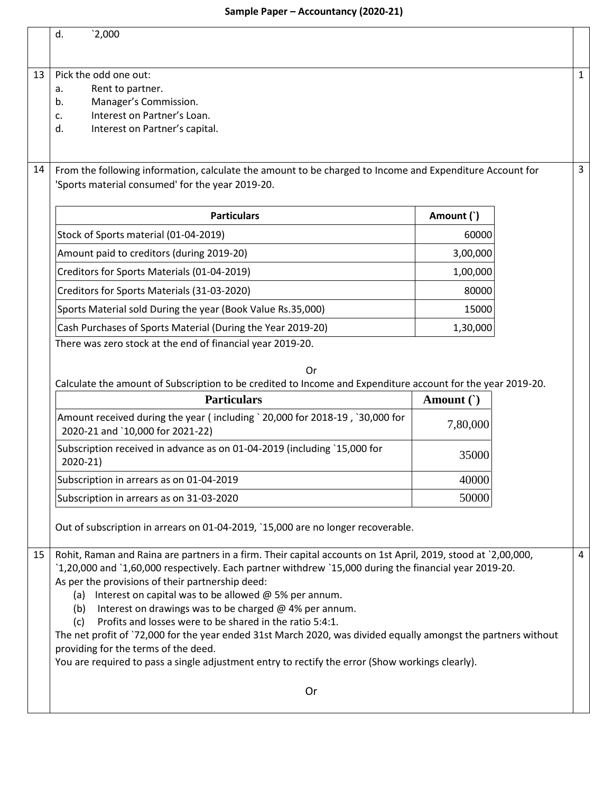|    | d.<br>2,000                                                                                                                                                                                                                                                                                                                                                                                                                                                                                                                                                                                                                                                                                                                                   |              |              |  |  |
|----|-----------------------------------------------------------------------------------------------------------------------------------------------------------------------------------------------------------------------------------------------------------------------------------------------------------------------------------------------------------------------------------------------------------------------------------------------------------------------------------------------------------------------------------------------------------------------------------------------------------------------------------------------------------------------------------------------------------------------------------------------|--------------|--------------|--|--|
| 13 | Pick the odd one out:<br>Rent to partner.<br>а.<br>Manager's Commission.<br>b.<br>Interest on Partner's Loan.<br>c.<br>Interest on Partner's capital.<br>d.                                                                                                                                                                                                                                                                                                                                                                                                                                                                                                                                                                                   |              | $\mathbf{1}$ |  |  |
| 14 | From the following information, calculate the amount to be charged to Income and Expenditure Account for<br>'Sports material consumed' for the year 2019-20.                                                                                                                                                                                                                                                                                                                                                                                                                                                                                                                                                                                  |              | $\mathbf{3}$ |  |  |
|    | <b>Particulars</b>                                                                                                                                                                                                                                                                                                                                                                                                                                                                                                                                                                                                                                                                                                                            | Amount (`)   |              |  |  |
|    | Stock of Sports material (01-04-2019)                                                                                                                                                                                                                                                                                                                                                                                                                                                                                                                                                                                                                                                                                                         | 60000        |              |  |  |
|    | Amount paid to creditors (during 2019-20)                                                                                                                                                                                                                                                                                                                                                                                                                                                                                                                                                                                                                                                                                                     | 3,00,000     |              |  |  |
|    | Creditors for Sports Materials (01-04-2019)                                                                                                                                                                                                                                                                                                                                                                                                                                                                                                                                                                                                                                                                                                   | 1,00,000     |              |  |  |
|    | Creditors for Sports Materials (31-03-2020)                                                                                                                                                                                                                                                                                                                                                                                                                                                                                                                                                                                                                                                                                                   | 80000        |              |  |  |
|    | Sports Material sold During the year (Book Value Rs.35,000)                                                                                                                                                                                                                                                                                                                                                                                                                                                                                                                                                                                                                                                                                   | 15000        |              |  |  |
|    | Cash Purchases of Sports Material (During the Year 2019-20)<br>1,30,000                                                                                                                                                                                                                                                                                                                                                                                                                                                                                                                                                                                                                                                                       |              |              |  |  |
|    | There was zero stock at the end of financial year 2019-20.<br>Or<br>Calculate the amount of Subscription to be credited to Income and Expenditure account for the year 2019-20.                                                                                                                                                                                                                                                                                                                                                                                                                                                                                                                                                               |              |              |  |  |
|    | <b>Particulars</b>                                                                                                                                                                                                                                                                                                                                                                                                                                                                                                                                                                                                                                                                                                                            | Amount $($ ) |              |  |  |
|    | Amount received during the year (including `20,000 for 2018-19, `30,000 for<br>2020-21 and `10,000 for 2021-22)                                                                                                                                                                                                                                                                                                                                                                                                                                                                                                                                                                                                                               | 7,80,000     |              |  |  |
|    | Subscription received in advance as on 01-04-2019 (including `15,000 for<br>$2020-21$                                                                                                                                                                                                                                                                                                                                                                                                                                                                                                                                                                                                                                                         | 35000        |              |  |  |
|    | Subscription in arrears as on 01-04-2019                                                                                                                                                                                                                                                                                                                                                                                                                                                                                                                                                                                                                                                                                                      | 40000        |              |  |  |
|    | Subscription in arrears as on 31-03-2020                                                                                                                                                                                                                                                                                                                                                                                                                                                                                                                                                                                                                                                                                                      | 50000        |              |  |  |
|    | Out of subscription in arrears on 01-04-2019, `15,000 are no longer recoverable.                                                                                                                                                                                                                                                                                                                                                                                                                                                                                                                                                                                                                                                              |              |              |  |  |
| 15 | Rohit, Raman and Raina are partners in a firm. Their capital accounts on 1st April, 2019, stood at `2,00,000,<br>4<br>1,20,000 and 1,60,000 respectively. Each partner withdrew 15,000 during the financial year 2019-20.<br>As per the provisions of their partnership deed:<br>(a) Interest on capital was to be allowed $@$ 5% per annum.<br>(b) Interest on drawings was to be charged $@$ 4% per annum.<br>Profits and losses were to be shared in the ratio 5:4:1.<br>(c)<br>The net profit of `72,000 for the year ended 31st March 2020, was divided equally amongst the partners without<br>providing for the terms of the deed.<br>You are required to pass a single adjustment entry to rectify the error (Show workings clearly). |              |              |  |  |
|    | Or                                                                                                                                                                                                                                                                                                                                                                                                                                                                                                                                                                                                                                                                                                                                            |              |              |  |  |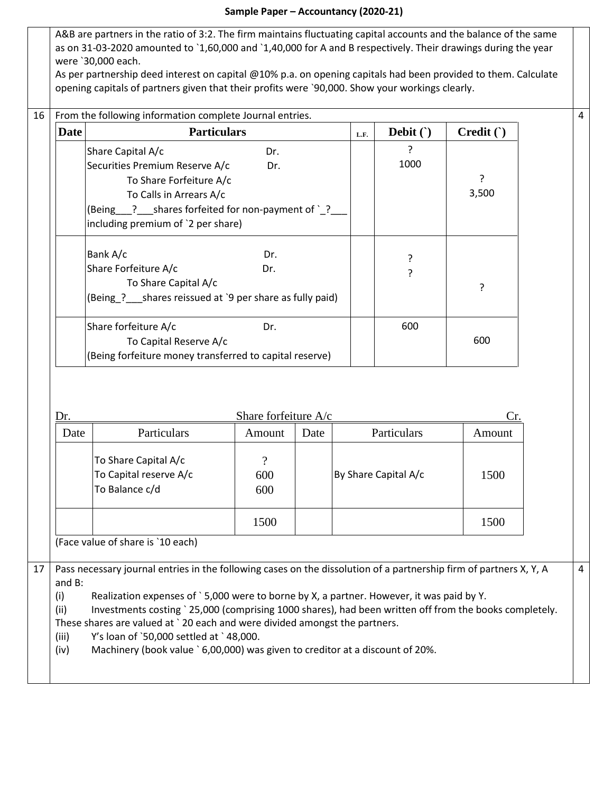A&B are partners in the ratio of 3:2. The firm maintains fluctuating capital accounts and the balance of the same as on 31-03-2020 amounted to `1,60,000 and `1,40,000 for A and B respectively. Their drawings during the year were `30,000 each.

As per partnership deed interest on capital @10% p.a. on opening capitals had been provided to them. Calculate opening capitals of partners given that their profits were `90,000. Show your workings clearly.

4

| <b>Date</b> | <b>Particulars</b>                                      | L.F. | Debit $( )$ | Credit() |       |
|-------------|---------------------------------------------------------|------|-------------|----------|-------|
|             | Share Capital A/c                                       | Dr.  |             | ?        |       |
|             | Securities Premium Reserve A/c                          | Dr.  |             | 1000     |       |
|             | To Share Forfeiture A/c                                 |      |             |          |       |
|             | To Calls in Arrears A/c                                 |      |             |          | 3,500 |
|             | (Being ? shares forfeited for non-payment of `?         |      |             |          |       |
|             | including premium of '2 per share)                      |      |             |          |       |
|             | Bank A/c                                                | Dr.  |             | ?        |       |
|             | Share Forfeiture A/c                                    | Dr.  |             | 5.       |       |
|             | To Share Capital A/c                                    |      |             |          | ς     |
|             | (Being ? shares reissued at `9 per share as fully paid) |      |             |          |       |
|             | Share forfeiture A/c                                    | Dr.  |             | 600      |       |
|             | To Capital Reserve A/c                                  |      |             |          | 600   |
|             | (Being forfeiture money transferred to capital reserve) |      |             |          |       |

|    | Dr.                                                                                                                                                                                                                                                                                                                                                                                                                                                                                                                                                                                  | Share forfeiture $A/c$                                           |                        |      |                      |        |  |  |
|----|--------------------------------------------------------------------------------------------------------------------------------------------------------------------------------------------------------------------------------------------------------------------------------------------------------------------------------------------------------------------------------------------------------------------------------------------------------------------------------------------------------------------------------------------------------------------------------------|------------------------------------------------------------------|------------------------|------|----------------------|--------|--|--|
|    | Date                                                                                                                                                                                                                                                                                                                                                                                                                                                                                                                                                                                 | Particulars                                                      | Amount                 | Date | Particulars          | Amount |  |  |
|    |                                                                                                                                                                                                                                                                                                                                                                                                                                                                                                                                                                                      | To Share Capital A/c<br>To Capital reserve A/c<br>To Balance c/d | $\gamma$<br>600<br>600 |      | By Share Capital A/c | 1500   |  |  |
|    |                                                                                                                                                                                                                                                                                                                                                                                                                                                                                                                                                                                      |                                                                  | 1500                   |      |                      | 1500   |  |  |
|    |                                                                                                                                                                                                                                                                                                                                                                                                                                                                                                                                                                                      | (Face value of share is `10 each)                                |                        |      |                      |        |  |  |
| 17 | Pass necessary journal entries in the following cases on the dissolution of a partnership firm of partners X, Y, A<br>4<br>and $B$ :<br>(i)<br>Realization expenses of `5,000 were to borne by X, a partner. However, it was paid by Y.<br>(ii)<br>Investments costing ` 25,000 (comprising 1000 shares), had been written off from the books completely.<br>These shares are valued at ` 20 each and were divided amongst the partners.<br>Y's loan of `50,000 settled at `48,000.<br>(iii)<br>Machinery (book value `6,00,000) was given to creditor at a discount of 20%.<br>(iv) |                                                                  |                        |      |                      |        |  |  |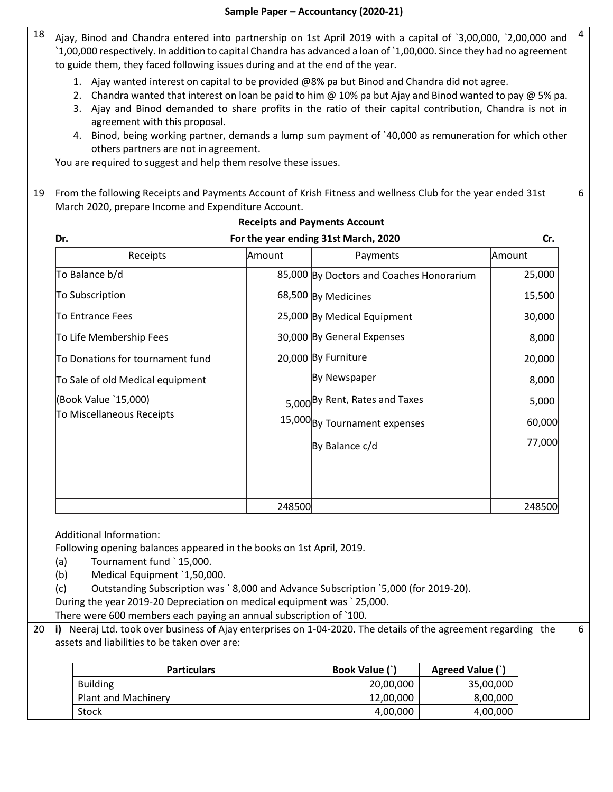$18$  Ajay, Binod and Chandra entered into partnership on 1st April 2019 with a capital of `3,00,000, `2,00,000 and `1,00,000 respectively. In addition to capital Chandra has advanced a loan of `1,00,000. Since they had no agreement to guide them, they faced following issues during and at the end of the year. 1. Ajay wanted interest on capital to be provided @8% pa but Binod and Chandra did not agree. 2. Chandra wanted that interest on loan be paid to him @ 10% pa but Ajay and Binod wanted to pay @ 5% pa. 3. Ajay and Binod demanded to share profits in the ratio of their capital contribution, Chandra is not in agreement with this proposal. 4. Binod, being working partner, demands a lump sum payment of `40,000 as remuneration for which other others partners are not in agreement. You are required to suggest and help them resolve these issues. 4 19 From the following Receipts and Payments Account of Krish Fitness and wellness Club for the year ended 31st March 2020, prepare Income and Expenditure Account. **Receipts and Payments Account Dr. For the year ending 31st March, 2020 Cr.** Receipts **Amount** | Payments Amount To Balance b/d **85,000** By Doctors and Coaches Honorarium By Medicines To Subscription 68,500 15,500 By Medical Equipment To Entrance Fees 25,000 30,000 To Life Membership Fees | 30,000 By General Expenses | 8,000 20,000 By Furniture By Newspaper 25,000 To Donations for tournament fund  $\vert$  20,000 By Furniture  $\vert$  20,000  $\vert$ To Sale of old Medical equipment 8,000 6

> 5,000 By Rent, Rates and Taxes 15,000 By Tournament expenses

248500 248500

5,000

60,000

77,000

By Balance c/d

Additional Information:

(Book Value `15,000) To Miscellaneous Receipts

Following opening balances appeared in the books on 1st April, 2019.

- (a) Tournament fund ` 15,000.
- (b) Medical Equipment `1,50,000.

(c) Outstanding Subscription was ` 8,000 and Advance Subscription `5,000 (for 2019-20).

During the year 2019-20 Depreciation on medical equipment was ` 25,000.

There were 600 members each paying an annual subscription of `100.

20 **i)** Neeraj Ltd. took over business of Ajay enterprises on 1-04-2020. The details of the agreement regarding the assets and liabilities to be taken over are: 6

| <b>Particulars</b>         | Book Value (`) | Agreed Value (`) |
|----------------------------|----------------|------------------|
| <b>Building</b>            | 20,00,000      | 35,00,000        |
| <b>Plant and Machinery</b> | 12,00,000      | 8,00,000         |
| Stock                      | 4,00,000       | 4,00,000         |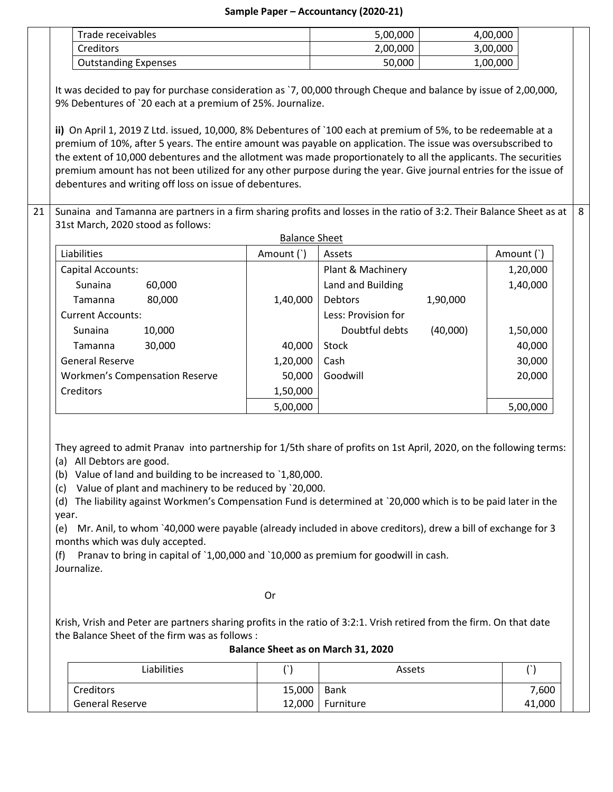| Trade receivables           | 5,00,000 | 4,00,000 |  |
|-----------------------------|----------|----------|--|
| Creditors                   | 2,00,000 | 3,00,000 |  |
| <b>Outstanding Expenses</b> | 50,000   | 1,00,000 |  |

It was decided to pay for purchase consideration as `7, 00,000 through Cheque and balance by issue of 2,00,000, 9% Debentures of `20 each at a premium of 25%. Journalize.

**ii)** On April 1, 2019 Z Ltd. issued, 10,000, 8% Debentures of `100 each at premium of 5%, to be redeemable at a premium of 10%, after 5 years. The entire amount was payable on application. The issue was oversubscribed to the extent of 10,000 debentures and the allotment was made proportionately to all the applicants. The securities premium amount has not been utilized for any other purpose during the year. Give journal entries for the issue of debentures and writing off loss on issue of debentures.

21 Sunaina and Tamanna are partners in a firm sharing profits and losses in the ratio of 3:2. Their Balance Sheet as at 31st March, 2020 stood as follows: 8

| <b>Balance Sheet</b>     |                                       |            |                     |          |            |
|--------------------------|---------------------------------------|------------|---------------------|----------|------------|
| Liabilities              |                                       | Amount (`) | Assets              |          | Amount (`) |
| Capital Accounts:        |                                       |            | Plant & Machinery   |          | 1,20,000   |
| Sunaina                  | 60,000                                |            | Land and Building   |          | 1,40,000   |
| Tamanna                  | 80,000                                | 1,40,000   | <b>Debtors</b>      | 1,90,000 |            |
| <b>Current Accounts:</b> |                                       |            | Less: Provision for |          |            |
| Sunaina                  | 10,000                                |            | Doubtful debts      | (40,000) | 1,50,000   |
| Tamanna                  | 30,000                                | 40,000     | Stock               |          | 40,000     |
| <b>General Reserve</b>   |                                       | 1,20,000   | Cash                |          | 30,000     |
|                          | <b>Workmen's Compensation Reserve</b> | 50,000     | Goodwill            |          | 20,000     |
| Creditors                |                                       | 1,50,000   |                     |          |            |
|                          |                                       | 5,00,000   |                     |          | 5,00,000   |

They agreed to admit Pranav into partnership for 1/5th share of profits on 1st April, 2020, on the following terms: (a) All Debtors are good.

(b) Value of land and building to be increased to `1,80,000.

(c) Value of plant and machinery to be reduced by `20,000.

(d) The liability against Workmen's Compensation Fund is determined at `20,000 which is to be paid later in the year.

(e) Mr. Anil, to whom `40,000 were payable (already included in above creditors), drew a bill of exchange for 3 months which was duly accepted.

(f) Pranav to bring in capital of `1,00,000 and `10,000 as premium for goodwill in cash. Journalize.

**Contact Contact Contact Contact Contact Contact Contact Contact Contact Contact Contact Contact Contact Contact** 

Krish, Vrish and Peter are partners sharing profits in the ratio of 3:2:1. Vrish retired from the firm. On that date the Balance Sheet of the firm was as follows :

| Balance Sheet as on March 31, 2020 |        |           |        |  |
|------------------------------------|--------|-----------|--------|--|
| Liabilities                        |        | Assets    |        |  |
| <b>Creditors</b>                   | 15,000 | Bank      | 7,600  |  |
| General Reserve                    | 12.000 | Furniture | 41,000 |  |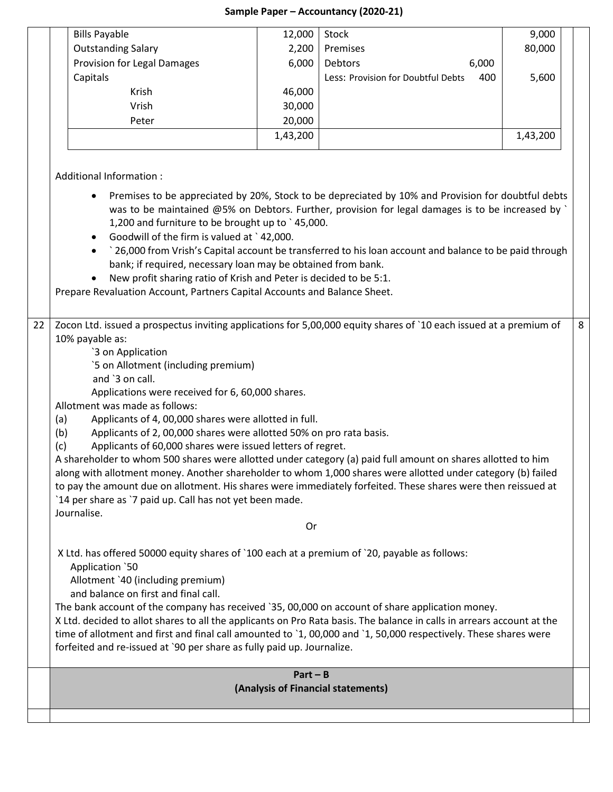|                                                                                                                                                                                                                                                                                                                                                                                                                                                                                                                                                                                                                                                                                                                                                                                                                                                                                                                                                                                                                                                                                                                                                                                                                                                                                                                                                                                                                                                                                                                                                                                                                                                                                                                                                                                                                                                                                                                                                                                                                                                                                                                                                                                                                                                                                                                                                                                  |  | <b>Bills Payable</b>        | 12,000 | Stock                                     | 9,000  |  |  |
|----------------------------------------------------------------------------------------------------------------------------------------------------------------------------------------------------------------------------------------------------------------------------------------------------------------------------------------------------------------------------------------------------------------------------------------------------------------------------------------------------------------------------------------------------------------------------------------------------------------------------------------------------------------------------------------------------------------------------------------------------------------------------------------------------------------------------------------------------------------------------------------------------------------------------------------------------------------------------------------------------------------------------------------------------------------------------------------------------------------------------------------------------------------------------------------------------------------------------------------------------------------------------------------------------------------------------------------------------------------------------------------------------------------------------------------------------------------------------------------------------------------------------------------------------------------------------------------------------------------------------------------------------------------------------------------------------------------------------------------------------------------------------------------------------------------------------------------------------------------------------------------------------------------------------------------------------------------------------------------------------------------------------------------------------------------------------------------------------------------------------------------------------------------------------------------------------------------------------------------------------------------------------------------------------------------------------------------------------------------------------------|--|-----------------------------|--------|-------------------------------------------|--------|--|--|
|                                                                                                                                                                                                                                                                                                                                                                                                                                                                                                                                                                                                                                                                                                                                                                                                                                                                                                                                                                                                                                                                                                                                                                                                                                                                                                                                                                                                                                                                                                                                                                                                                                                                                                                                                                                                                                                                                                                                                                                                                                                                                                                                                                                                                                                                                                                                                                                  |  | <b>Outstanding Salary</b>   | 2,200  | Premises                                  | 80,000 |  |  |
|                                                                                                                                                                                                                                                                                                                                                                                                                                                                                                                                                                                                                                                                                                                                                                                                                                                                                                                                                                                                                                                                                                                                                                                                                                                                                                                                                                                                                                                                                                                                                                                                                                                                                                                                                                                                                                                                                                                                                                                                                                                                                                                                                                                                                                                                                                                                                                                  |  | Provision for Legal Damages | 6,000  | Debtors<br>6,000                          |        |  |  |
|                                                                                                                                                                                                                                                                                                                                                                                                                                                                                                                                                                                                                                                                                                                                                                                                                                                                                                                                                                                                                                                                                                                                                                                                                                                                                                                                                                                                                                                                                                                                                                                                                                                                                                                                                                                                                                                                                                                                                                                                                                                                                                                                                                                                                                                                                                                                                                                  |  | Capitals                    |        | 400<br>Less: Provision for Doubtful Debts | 5,600  |  |  |
|                                                                                                                                                                                                                                                                                                                                                                                                                                                                                                                                                                                                                                                                                                                                                                                                                                                                                                                                                                                                                                                                                                                                                                                                                                                                                                                                                                                                                                                                                                                                                                                                                                                                                                                                                                                                                                                                                                                                                                                                                                                                                                                                                                                                                                                                                                                                                                                  |  | Krish                       | 46,000 |                                           |        |  |  |
|                                                                                                                                                                                                                                                                                                                                                                                                                                                                                                                                                                                                                                                                                                                                                                                                                                                                                                                                                                                                                                                                                                                                                                                                                                                                                                                                                                                                                                                                                                                                                                                                                                                                                                                                                                                                                                                                                                                                                                                                                                                                                                                                                                                                                                                                                                                                                                                  |  | Vrish                       | 30,000 |                                           |        |  |  |
|                                                                                                                                                                                                                                                                                                                                                                                                                                                                                                                                                                                                                                                                                                                                                                                                                                                                                                                                                                                                                                                                                                                                                                                                                                                                                                                                                                                                                                                                                                                                                                                                                                                                                                                                                                                                                                                                                                                                                                                                                                                                                                                                                                                                                                                                                                                                                                                  |  | Peter                       |        |                                           |        |  |  |
|                                                                                                                                                                                                                                                                                                                                                                                                                                                                                                                                                                                                                                                                                                                                                                                                                                                                                                                                                                                                                                                                                                                                                                                                                                                                                                                                                                                                                                                                                                                                                                                                                                                                                                                                                                                                                                                                                                                                                                                                                                                                                                                                                                                                                                                                                                                                                                                  |  |                             |        |                                           |        |  |  |
|                                                                                                                                                                                                                                                                                                                                                                                                                                                                                                                                                                                                                                                                                                                                                                                                                                                                                                                                                                                                                                                                                                                                                                                                                                                                                                                                                                                                                                                                                                                                                                                                                                                                                                                                                                                                                                                                                                                                                                                                                                                                                                                                                                                                                                                                                                                                                                                  |  |                             |        |                                           |        |  |  |
| 20,000<br>1,43,200<br>1,43,200<br>Additional Information :<br>Premises to be appreciated by 20%, Stock to be depreciated by 10% and Provision for doubtful debts<br>was to be maintained @5% on Debtors. Further, provision for legal damages is to be increased by $\degree$<br>1,200 and furniture to be brought up to `45,000.<br>Goodwill of the firm is valued at `42,000.<br>`26,000 from Vrish's Capital account be transferred to his loan account and balance to be paid through<br>$\bullet$<br>bank; if required, necessary loan may be obtained from bank.<br>New profit sharing ratio of Krish and Peter is decided to be 5:1.<br>Prepare Revaluation Account, Partners Capital Accounts and Balance Sheet.<br>22<br>Zocon Ltd. issued a prospectus inviting applications for 5,00,000 equity shares of `10 each issued at a premium of<br>10% payable as:<br>`3 on Application<br>`5 on Allotment (including premium)<br>and `3 on call.<br>Applications were received for 6, 60,000 shares.<br>Allotment was made as follows:<br>Applicants of 4, 00,000 shares were allotted in full.<br>(a)<br>Applicants of 2, 00,000 shares were allotted 50% on pro rata basis.<br>(b)<br>Applicants of 60,000 shares were issued letters of regret.<br>(c)<br>A shareholder to whom 500 shares were allotted under category (a) paid full amount on shares allotted to him<br>along with allotment money. Another shareholder to whom 1,000 shares were allotted under category (b) failed<br>to pay the amount due on allotment. His shares were immediately forfeited. These shares were then reissued at<br>'14 per share as '7 paid up. Call has not yet been made.<br>Journalise.<br>0r<br>X Ltd. has offered 50000 equity shares of `100 each at a premium of `20, payable as follows:<br>Application `50<br>Allotment `40 (including premium)<br>and balance on first and final call.<br>The bank account of the company has received `35, 00,000 on account of share application money.<br>X Ltd. decided to allot shares to all the applicants on Pro Rata basis. The balance in calls in arrears account at the<br>time of allotment and first and final call amounted to '1, 00,000 and '1, 50,000 respectively. These shares were<br>forfeited and re-issued at `90 per share as fully paid up. Journalize.<br>$Part - B$<br>(Analysis of Financial statements) |  |                             |        |                                           |        |  |  |
|                                                                                                                                                                                                                                                                                                                                                                                                                                                                                                                                                                                                                                                                                                                                                                                                                                                                                                                                                                                                                                                                                                                                                                                                                                                                                                                                                                                                                                                                                                                                                                                                                                                                                                                                                                                                                                                                                                                                                                                                                                                                                                                                                                                                                                                                                                                                                                                  |  |                             |        |                                           |        |  |  |
|                                                                                                                                                                                                                                                                                                                                                                                                                                                                                                                                                                                                                                                                                                                                                                                                                                                                                                                                                                                                                                                                                                                                                                                                                                                                                                                                                                                                                                                                                                                                                                                                                                                                                                                                                                                                                                                                                                                                                                                                                                                                                                                                                                                                                                                                                                                                                                                  |  |                             |        |                                           |        |  |  |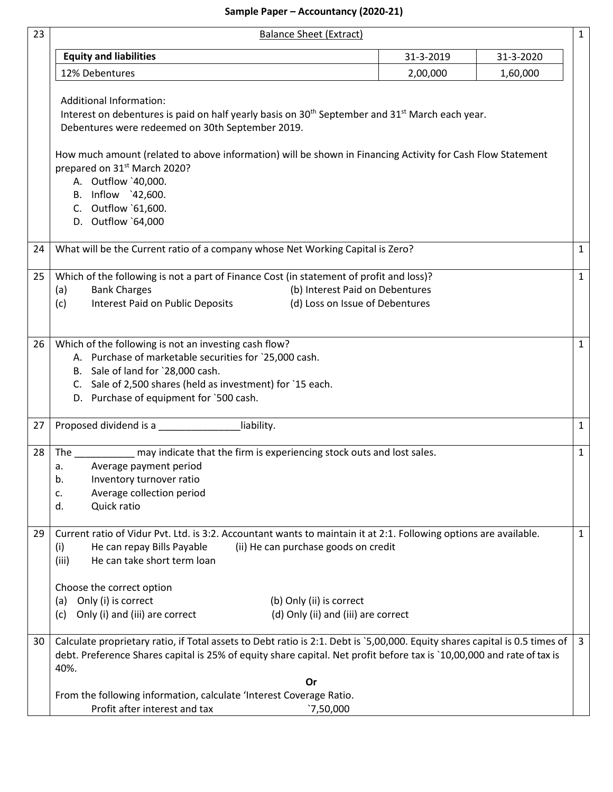| 23 | <b>Balance Sheet (Extract)</b><br>$\mathbf{1}$                                                                                                                                                                                                                                                                                                                                                                                    |           |           |                |  |  |  |
|----|-----------------------------------------------------------------------------------------------------------------------------------------------------------------------------------------------------------------------------------------------------------------------------------------------------------------------------------------------------------------------------------------------------------------------------------|-----------|-----------|----------------|--|--|--|
|    | <b>Equity and liabilities</b>                                                                                                                                                                                                                                                                                                                                                                                                     | 31-3-2019 | 31-3-2020 |                |  |  |  |
|    | 12% Debentures                                                                                                                                                                                                                                                                                                                                                                                                                    | 2,00,000  | 1,60,000  |                |  |  |  |
|    | <b>Additional Information:</b><br>Interest on debentures is paid on half yearly basis on 30 <sup>th</sup> September and 31 <sup>st</sup> March each year.<br>Debentures were redeemed on 30th September 2019.<br>How much amount (related to above information) will be shown in Financing Activity for Cash Flow Statement<br>prepared on 31 <sup>st</sup> March 2020?<br>A. Outflow '40,000.<br>B. Inflow `42,600.              |           |           |                |  |  |  |
|    | C. Outflow `61,600.<br>D. Outflow `64,000                                                                                                                                                                                                                                                                                                                                                                                         |           |           |                |  |  |  |
| 24 | What will be the Current ratio of a company whose Net Working Capital is Zero?                                                                                                                                                                                                                                                                                                                                                    |           |           | $\mathbf{1}$   |  |  |  |
| 25 | Which of the following is not a part of Finance Cost (in statement of profit and loss)?<br><b>Bank Charges</b><br>(b) Interest Paid on Debentures<br>(a)<br>Interest Paid on Public Deposits<br>(d) Loss on Issue of Debentures<br>(c)                                                                                                                                                                                            |           |           | $\mathbf{1}$   |  |  |  |
| 26 | Which of the following is not an investing cash flow?<br>$\mathbf{1}$<br>A. Purchase of marketable securities for `25,000 cash.<br>B. Sale of land for `28,000 cash.<br>C. Sale of 2,500 shares (held as investment) for `15 each.<br>D. Purchase of equipment for `500 cash.                                                                                                                                                     |           |           |                |  |  |  |
| 27 | liability.<br>Proposed dividend is a                                                                                                                                                                                                                                                                                                                                                                                              |           |           | $\mathbf{1}$   |  |  |  |
| 28 | may indicate that the firm is experiencing stock outs and lost sales.<br>The the contract of the contract of the contract of the contract of the contract of the contract of the contract of the contract of the contract of the contract of the contract of the contract of the contract of the contra<br>Average payment period<br>а.<br>b.<br>Inventory turnover ratio<br>Average collection period<br>c.<br>Quick ratio<br>d. |           |           | $\mathbf{1}$   |  |  |  |
| 29 | Current ratio of Vidur Pvt. Ltd. is 3:2. Accountant wants to maintain it at 2:1. Following options are available.<br>(ii) He can purchase goods on credit<br>He can repay Bills Payable<br>(i)<br>He can take short term loan<br>(iii)<br>Choose the correct option                                                                                                                                                               |           |           | $\mathbf{1}$   |  |  |  |
|    | Only (i) is correct<br>(b) Only (ii) is correct<br>(a)<br>Only (i) and (iii) are correct<br>(d) Only (ii) and (iii) are correct<br>(c)                                                                                                                                                                                                                                                                                            |           |           |                |  |  |  |
| 30 | Calculate proprietary ratio, if Total assets to Debt ratio is 2:1. Debt is `5,00,000. Equity shares capital is 0.5 times of<br>debt. Preference Shares capital is 25% of equity share capital. Net profit before tax is `10,00,000 and rate of tax is<br>40%.                                                                                                                                                                     |           |           | $\overline{3}$ |  |  |  |
|    | Or                                                                                                                                                                                                                                                                                                                                                                                                                                |           |           |                |  |  |  |
|    | From the following information, calculate 'Interest Coverage Ratio.<br>Profit after interest and tax<br>`7,50,000                                                                                                                                                                                                                                                                                                                 |           |           |                |  |  |  |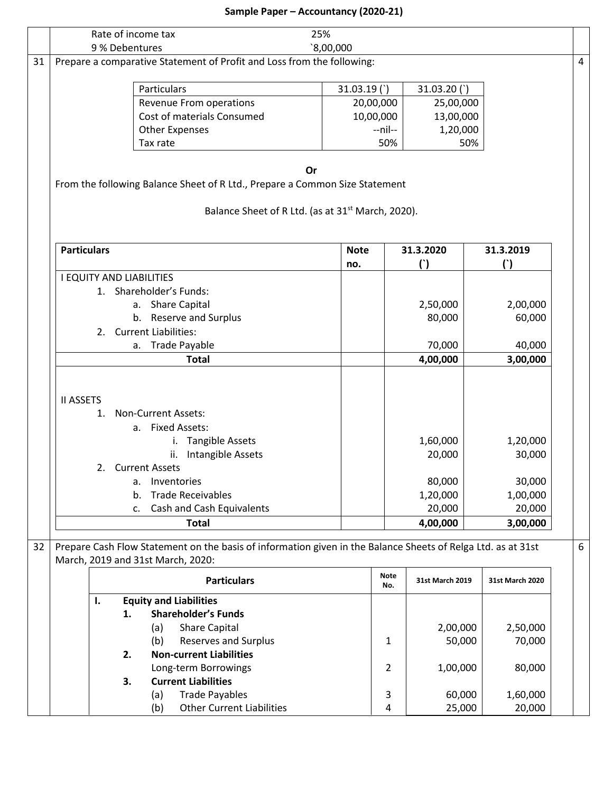|    | Rate of income tax                                                                                                                                                                                                                          | 25%                                                           |                    |                                                    |                                                    |   |
|----|---------------------------------------------------------------------------------------------------------------------------------------------------------------------------------------------------------------------------------------------|---------------------------------------------------------------|--------------------|----------------------------------------------------|----------------------------------------------------|---|
|    | 9 % Debentures                                                                                                                                                                                                                              | 3,00,000                                                      |                    |                                                    |                                                    |   |
| 31 | Prepare a comparative Statement of Profit and Loss from the following:                                                                                                                                                                      |                                                               |                    |                                                    |                                                    | 4 |
|    |                                                                                                                                                                                                                                             |                                                               |                    |                                                    |                                                    |   |
|    | Particulars                                                                                                                                                                                                                                 | 31.03.19()                                                    |                    | 31.03.20()                                         |                                                    |   |
|    | Revenue From operations                                                                                                                                                                                                                     |                                                               | 20,00,000          | 25,00,000                                          |                                                    |   |
|    | Cost of materials Consumed                                                                                                                                                                                                                  |                                                               | 10,00,000          | 13,00,000                                          |                                                    |   |
|    | <b>Other Expenses</b>                                                                                                                                                                                                                       |                                                               | --nil--            | 1,20,000                                           |                                                    |   |
|    | Tax rate                                                                                                                                                                                                                                    |                                                               | 50%                |                                                    | 50%                                                |   |
|    | From the following Balance Sheet of R Ltd., Prepare a Common Size Statement                                                                                                                                                                 | Or                                                            |                    |                                                    |                                                    |   |
|    |                                                                                                                                                                                                                                             | Balance Sheet of R Ltd. (as at 31 <sup>st</sup> March, 2020). |                    |                                                    |                                                    |   |
|    | <b>Particulars</b>                                                                                                                                                                                                                          | <b>Note</b>                                                   |                    | 31.3.2020                                          | 31.3.2019                                          |   |
|    |                                                                                                                                                                                                                                             | no.                                                           |                    | $\Gamma$                                           | $($ )                                              |   |
|    | <b>I EQUITY AND LIABILITIES</b>                                                                                                                                                                                                             |                                                               |                    |                                                    |                                                    |   |
|    | 1. Shareholder's Funds:                                                                                                                                                                                                                     |                                                               |                    |                                                    |                                                    |   |
|    | a. Share Capital                                                                                                                                                                                                                            |                                                               |                    | 2,50,000                                           | 2,00,000                                           |   |
|    | b. Reserve and Surplus                                                                                                                                                                                                                      |                                                               |                    | 80,000                                             | 60,000                                             |   |
|    | 2. Current Liabilities:                                                                                                                                                                                                                     |                                                               |                    |                                                    |                                                    |   |
|    | a. Trade Payable                                                                                                                                                                                                                            |                                                               |                    | 70,000                                             | 40,000                                             |   |
|    | <b>Total</b>                                                                                                                                                                                                                                |                                                               |                    | 4,00,000                                           | 3,00,000                                           |   |
|    | <b>II ASSETS</b><br><b>Non-Current Assets:</b><br>$1_{-}$<br>a. Fixed Assets:<br>i. Tangible Assets<br>ii. Intangible Assets<br>2. Current Assets<br>Inventories<br>a.<br><b>Trade Receivables</b><br>b.<br>Cash and Cash Equivalents<br>c. |                                                               |                    | 1,60,000<br>20,000<br>80,000<br>1,20,000<br>20,000 | 1,20,000<br>30,000<br>30,000<br>1,00,000<br>20,000 |   |
|    | <b>Total</b>                                                                                                                                                                                                                                |                                                               |                    | 4,00,000                                           | 3,00,000                                           |   |
| 32 | Prepare Cash Flow Statement on the basis of information given in the Balance Sheets of Relga Ltd. as at 31st<br>March, 2019 and 31st March, 2020:                                                                                           |                                                               |                    |                                                    |                                                    | 6 |
|    | <b>Particulars</b>                                                                                                                                                                                                                          |                                                               | <b>Note</b><br>No. | 31st March 2019                                    | 31st March 2020                                    |   |
|    | <b>Equity and Liabilities</b><br>Ι.                                                                                                                                                                                                         |                                                               |                    |                                                    |                                                    |   |
|    | <b>Shareholder's Funds</b><br>1.                                                                                                                                                                                                            |                                                               |                    |                                                    |                                                    |   |
|    | <b>Share Capital</b><br>(a)                                                                                                                                                                                                                 |                                                               |                    | 2,00,000                                           | 2,50,000                                           |   |
|    | <b>Reserves and Surplus</b><br>(b)                                                                                                                                                                                                          |                                                               | 1                  | 50,000                                             | 70,000                                             |   |
|    | <b>Non-current Liabilities</b><br>2.                                                                                                                                                                                                        |                                                               |                    |                                                    |                                                    |   |
|    | Long-term Borrowings                                                                                                                                                                                                                        |                                                               | 2                  | 1,00,000                                           | 80,000                                             |   |
|    | <b>Current Liabilities</b><br>3.                                                                                                                                                                                                            |                                                               |                    |                                                    |                                                    |   |
|    | <b>Trade Payables</b><br>(a)                                                                                                                                                                                                                |                                                               | 3                  | 60,000                                             | 1,60,000                                           |   |
|    | <b>Other Current Liabilities</b><br>(b)                                                                                                                                                                                                     |                                                               | 4                  | 25,000                                             | 20,000                                             |   |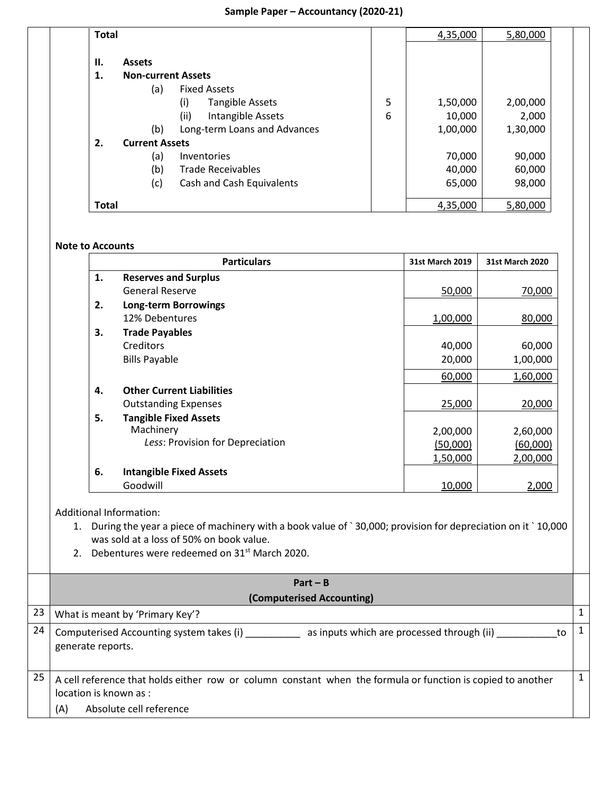| <b>Total</b> |                           |                               |   | 4,35,000 | 5,80,000 |  |
|--------------|---------------------------|-------------------------------|---|----------|----------|--|
| II.          | <b>Assets</b>             |                               |   |          |          |  |
| 1.           | <b>Non-current Assets</b> |                               |   |          |          |  |
|              | (a)                       | <b>Fixed Assets</b>           |   |          |          |  |
|              |                           | <b>Tangible Assets</b><br>(i) | 5 | 1,50,000 | 2,00,000 |  |
|              |                           | (ii)<br>Intangible Assets     | 6 | 10,000   | 2,000    |  |
|              | (b)                       | Long-term Loans and Advances  |   | 1,00,000 | 1,30,000 |  |
| 2.           | <b>Current Assets</b>     |                               |   |          |          |  |
|              | (a)                       | Inventories                   |   | 70,000   | 90,000   |  |
|              | (b)                       | <b>Trade Receivables</b>      |   | 40,000   | 60,000   |  |
|              | (c)                       | Cash and Cash Equivalents     |   | 65,000   | 98,000   |  |
| <b>Total</b> |                           |                               |   | 4,35,000 | 5,80,000 |  |

#### **Note to Accounts**

|    | <b>Particulars</b>               | <b>31st March 2019</b> | <b>31st March 2020</b> |
|----|----------------------------------|------------------------|------------------------|
| 1. | <b>Reserves and Surplus</b>      |                        |                        |
|    | <b>General Reserve</b>           | 50,000                 | 70,000                 |
| 2. | <b>Long-term Borrowings</b>      |                        |                        |
|    | 12% Debentures                   | 1,00,000               | 80,000                 |
| З. | <b>Trade Payables</b>            |                        |                        |
|    | Creditors                        | 40,000                 | 60,000                 |
|    | <b>Bills Payable</b>             | 20,000                 | 1,00,000               |
|    |                                  | 60,000                 | 1,60,000               |
| 4. | <b>Other Current Liabilities</b> |                        |                        |
|    | <b>Outstanding Expenses</b>      | 25,000                 | 20,000                 |
| 5. | <b>Tangible Fixed Assets</b>     |                        |                        |
|    | Machinery                        | 2,00,000               | 2,60,000               |
|    | Less: Provision for Depreciation | (50,000)               | (60,000)               |
|    |                                  | 1,50,000               | 2,00,000               |
| 6. | <b>Intangible Fixed Assets</b>   |                        |                        |
|    | Goodwill                         | 10,000                 | 2,000                  |

Additional Information:

1. During the year a piece of machinery with a book value of ` 30,000; provision for depreciation on it ` 10,000 was sold at a loss of 50% on book value.

2. Debentures were redeemed on 31<sup>st</sup> March 2020.

|    | $Part - B$                                                                                                                                                              |                |
|----|-------------------------------------------------------------------------------------------------------------------------------------------------------------------------|----------------|
|    | (Computerised Accounting)                                                                                                                                               |                |
| 23 | What is meant by 'Primary Key'?                                                                                                                                         |                |
| 24 | Computerised Accounting system takes (i)<br>as inputs which are processed through (ii)<br>to<br>generate reports.                                                       |                |
| 25 | A cell reference that holds either row or column constant when the formula or function is copied to another<br>location is known as :<br>Absolute cell reference<br>(A) | 1 <sup>1</sup> |